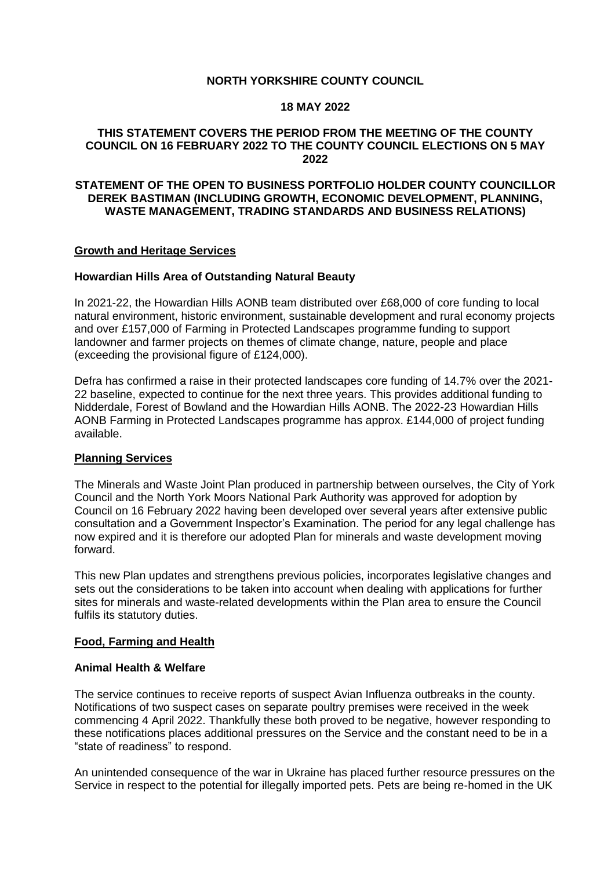# **NORTH YORKSHIRE COUNTY COUNCIL**

#### **18 MAY 2022**

# **THIS STATEMENT COVERS THE PERIOD FROM THE MEETING OF THE COUNTY COUNCIL ON 16 FEBRUARY 2022 TO THE COUNTY COUNCIL ELECTIONS ON 5 MAY 2022**

## **STATEMENT OF THE OPEN TO BUSINESS PORTFOLIO HOLDER COUNTY COUNCILLOR DEREK BASTIMAN (INCLUDING GROWTH, ECONOMIC DEVELOPMENT, PLANNING, WASTE MANAGEMENT, TRADING STANDARDS AND BUSINESS RELATIONS)**

#### **Growth and Heritage Services**

## **Howardian Hills Area of Outstanding Natural Beauty**

In 2021-22, the Howardian Hills AONB team distributed over £68,000 of core funding to local natural environment, historic environment, sustainable development and rural economy projects and over £157,000 of Farming in Protected Landscapes programme funding to support landowner and farmer projects on themes of climate change, nature, people and place (exceeding the provisional figure of £124,000).

Defra has confirmed a raise in their protected landscapes core funding of 14.7% over the 2021- 22 baseline, expected to continue for the next three years. This provides additional funding to Nidderdale, Forest of Bowland and the Howardian Hills AONB. The 2022-23 Howardian Hills AONB Farming in Protected Landscapes programme has approx. £144,000 of project funding available.

#### **Planning Services**

The Minerals and Waste Joint Plan produced in partnership between ourselves, the City of York Council and the North York Moors National Park Authority was approved for adoption by Council on 16 February 2022 having been developed over several years after extensive public consultation and a Government Inspector's Examination. The period for any legal challenge has now expired and it is therefore our adopted Plan for minerals and waste development moving forward.

This new Plan updates and strengthens previous policies, incorporates legislative changes and sets out the considerations to be taken into account when dealing with applications for further sites for minerals and waste-related developments within the Plan area to ensure the Council fulfils its statutory duties.

#### **Food, Farming and Health**

#### **Animal Health & Welfare**

The service continues to receive reports of suspect Avian Influenza outbreaks in the county. Notifications of two suspect cases on separate poultry premises were received in the week commencing 4 April 2022. Thankfully these both proved to be negative, however responding to these notifications places additional pressures on the Service and the constant need to be in a "state of readiness" to respond.

An unintended consequence of the war in Ukraine has placed further resource pressures on the Service in respect to the potential for illegally imported pets. Pets are being re-homed in the UK